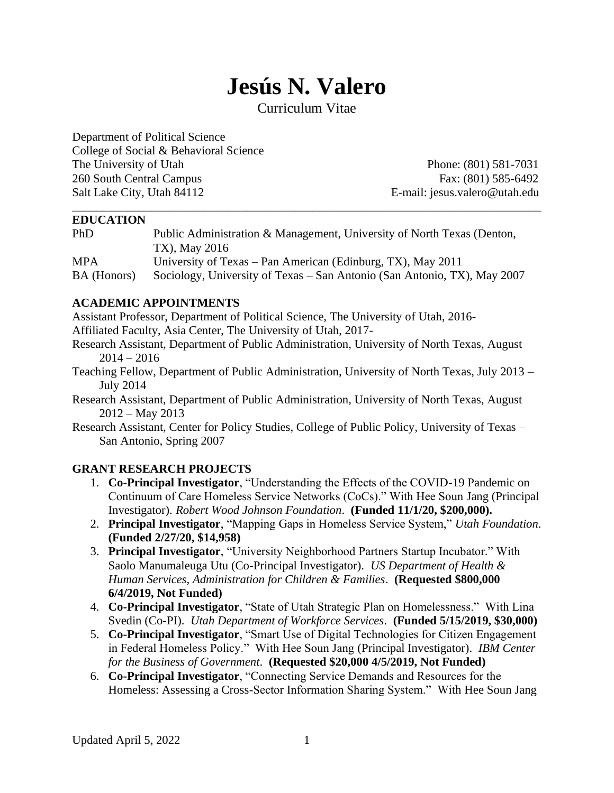# **Jesús N. Valero**

Curriculum Vitae

Department of Political Science College of Social & Behavioral Science The University of Utah Phone: (801) 581-7031 260 South Central Campus Fax: (801) 585-6492 Salt Lake City, Utah 84112 E-mail: jesus.valero@utah.edu

#### **EDUCATION**

| <b>PhD</b>  | Public Administration & Management, University of North Texas (Denton,   |
|-------------|--------------------------------------------------------------------------|
|             | TX), May 2016                                                            |
| <b>MPA</b>  | University of Texas – Pan American (Edinburg, TX), May 2011              |
| BA (Honors) | Sociology, University of Texas – San Antonio (San Antonio, TX), May 2007 |

\_\_\_\_\_\_\_\_\_\_\_\_\_\_\_\_\_\_\_\_\_\_\_\_\_\_\_\_\_\_\_\_\_\_\_\_\_\_\_\_\_\_\_\_\_\_\_\_\_\_\_\_\_\_\_\_\_\_\_\_\_\_\_\_\_\_\_\_\_\_\_\_\_\_\_\_\_\_

#### **ACADEMIC APPOINTMENTS**

Assistant Professor, Department of Political Science, The University of Utah, 2016-

Affiliated Faculty, Asia Center, The University of Utah, 2017-

- Research Assistant, Department of Public Administration, University of North Texas, August  $2014 - 2016$
- Teaching Fellow, Department of Public Administration, University of North Texas, July 2013 July 2014
- Research Assistant, Department of Public Administration, University of North Texas, August 2012 – May 2013

Research Assistant, Center for Policy Studies, College of Public Policy, University of Texas – San Antonio, Spring 2007

#### **GRANT RESEARCH PROJECTS**

- 1. **Co-Principal Investigator**, "Understanding the Effects of the COVID-19 Pandemic on Continuum of Care Homeless Service Networks (CoCs)." With Hee Soun Jang (Principal Investigator). *Robert Wood Johnson Foundation*. **(Funded 11/1/20, \$200,000).**
- 2. **Principal Investigator**, "Mapping Gaps in Homeless Service System," *Utah Foundation*. **(Funded 2/27/20, \$14,958)**
- 3. **Principal Investigator**, "University Neighborhood Partners Startup Incubator." With Saolo Manumaleuga Utu (Co-Principal Investigator). *US Department of Health & Human Services, Administration for Children & Families*. **(Requested \$800,000 6/4/2019, Not Funded)**
- 4. **Co-Principal Investigator**, "State of Utah Strategic Plan on Homelessness." With Lina Svedin (Co-PI). *Utah Department of Workforce Services*. **(Funded 5/15/2019, \$30,000)**
- 5. **Co-Principal Investigator**, "Smart Use of Digital Technologies for Citizen Engagement in Federal Homeless Policy." With Hee Soun Jang (Principal Investigator). *IBM Center for the Business of Government*. **(Requested \$20,000 4/5/2019, Not Funded)**
- 6. **Co-Principal Investigator**, "Connecting Service Demands and Resources for the Homeless: Assessing a Cross-Sector Information Sharing System." With Hee Soun Jang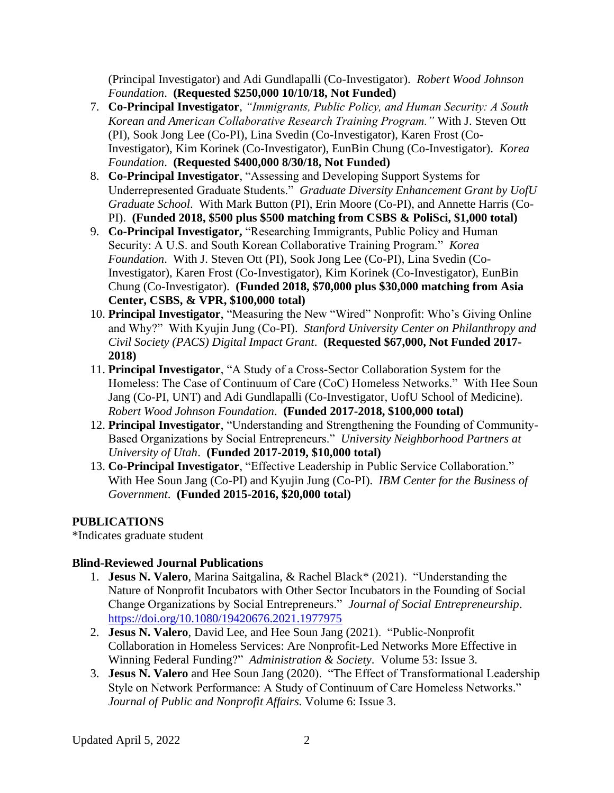(Principal Investigator) and Adi Gundlapalli (Co-Investigator). *Robert Wood Johnson Foundation*. **(Requested \$250,000 10/10/18, Not Funded)**

- 7. **Co-Principal Investigator**, *"Immigrants, Public Policy, and Human Security: A South Korean and American Collaborative Research Training Program."* With J. Steven Ott (PI), Sook Jong Lee (Co-PI), Lina Svedin (Co-Investigator), Karen Frost (Co-Investigator), Kim Korinek (Co-Investigator), EunBin Chung (Co-Investigator). *Korea Foundation*. **(Requested \$400,000 8/30/18, Not Funded)**
- 8. **Co-Principal Investigator**, "Assessing and Developing Support Systems for Underrepresented Graduate Students." *Graduate Diversity Enhancement Grant by UofU Graduate School*. With Mark Button (PI), Erin Moore (Co-PI), and Annette Harris (Co-PI). **(Funded 2018, \$500 plus \$500 matching from CSBS & PoliSci, \$1,000 total)**
- 9. **Co-Principal Investigator,** "Researching Immigrants, Public Policy and Human Security: A U.S. and South Korean Collaborative Training Program." *Korea Foundation*. With J. Steven Ott (PI), Sook Jong Lee (Co-PI), Lina Svedin (Co-Investigator), Karen Frost (Co-Investigator), Kim Korinek (Co-Investigator), EunBin Chung (Co-Investigator). **(Funded 2018, \$70,000 plus \$30,000 matching from Asia Center, CSBS, & VPR, \$100,000 total)**
- 10. **Principal Investigator**, "Measuring the New "Wired" Nonprofit: Who's Giving Online and Why?" With Kyujin Jung (Co-PI). *Stanford University Center on Philanthropy and Civil Society (PACS) Digital Impact Grant*. **(Requested \$67,000, Not Funded 2017- 2018)**
- 11. **Principal Investigator**, "A Study of a Cross-Sector Collaboration System for the Homeless: The Case of Continuum of Care (CoC) Homeless Networks." With Hee Soun Jang (Co-PI, UNT) and Adi Gundlapalli (Co-Investigator, UofU School of Medicine). *Robert Wood Johnson Foundation*. **(Funded 2017-2018, \$100,000 total)**
- 12. **Principal Investigator**, "Understanding and Strengthening the Founding of Community-Based Organizations by Social Entrepreneurs." *University Neighborhood Partners at University of Utah*. **(Funded 2017-2019, \$10,000 total)**
- 13. **Co-Principal Investigator**, "Effective Leadership in Public Service Collaboration." With Hee Soun Jang (Co-PI) and Kyujin Jung (Co-PI). *IBM Center for the Business of Government*. **(Funded 2015-2016, \$20,000 total)**

#### **PUBLICATIONS**

\*Indicates graduate student

#### **Blind-Reviewed Journal Publications**

- 1. **Jesus N. Valero**, Marina Saitgalina, & Rachel Black\* (2021). "Understanding the Nature of Nonprofit Incubators with Other Sector Incubators in the Founding of Social Change Organizations by Social Entrepreneurs." *Journal of Social Entrepreneurship*. <https://doi.org/10.1080/19420676.2021.1977975>
- 2. **Jesus N. Valero**, David Lee, and Hee Soun Jang (2021). "Public-Nonprofit Collaboration in Homeless Services: Are Nonprofit-Led Networks More Effective in Winning Federal Funding?" *Administration & Society*. Volume 53: Issue 3.
- 3. **Jesus N. Valero** and Hee Soun Jang (2020). "The Effect of Transformational Leadership Style on Network Performance: A Study of Continuum of Care Homeless Networks." *Journal of Public and Nonprofit Affairs.* Volume 6: Issue 3.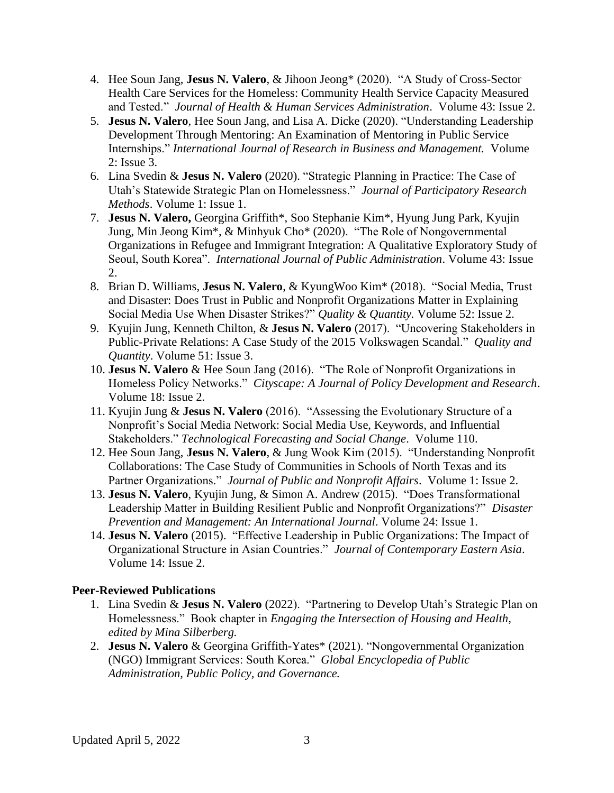- 4. Hee Soun Jang, **Jesus N. Valero**, & Jihoon Jeong\* (2020). "A Study of Cross-Sector Health Care Services for the Homeless: Community Health Service Capacity Measured and Tested." *Journal of Health & Human Services Administration*. Volume 43: Issue 2.
- 5. **Jesus N. Valero**, Hee Soun Jang, and Lisa A. Dicke (2020). "Understanding Leadership Development Through Mentoring: An Examination of Mentoring in Public Service Internships." *International Journal of Research in Business and Management.* Volume 2: Issue 3.
- 6. Lina Svedin & **Jesus N. Valero** (2020). "Strategic Planning in Practice: The Case of Utah's Statewide Strategic Plan on Homelessness." *Journal of Participatory Research Methods*. Volume 1: Issue 1.
- 7. **Jesus N. Valero,** Georgina Griffith\*, Soo Stephanie Kim\*, Hyung Jung Park, Kyujin Jung, Min Jeong Kim\*, & Minhyuk Cho\* (2020). "The Role of Nongovernmental Organizations in Refugee and Immigrant Integration: A Qualitative Exploratory Study of Seoul, South Korea". *International Journal of Public Administration*. Volume 43: Issue 2.
- 8. Brian D. Williams, **Jesus N. Valero**, & KyungWoo Kim\* (2018). "Social Media, Trust and Disaster: Does Trust in Public and Nonprofit Organizations Matter in Explaining Social Media Use When Disaster Strikes?" *Quality & Quantity.* Volume 52: Issue 2.
- 9. Kyujin Jung, Kenneth Chilton, & **Jesus N. Valero** (2017). "Uncovering Stakeholders in Public-Private Relations: A Case Study of the 2015 Volkswagen Scandal." *Quality and Quantity*. Volume 51: Issue 3.
- 10. **Jesus N. Valero** & Hee Soun Jang (2016). "The Role of Nonprofit Organizations in Homeless Policy Networks." *Cityscape: A Journal of Policy Development and Research*. Volume 18: Issue 2.
- 11. Kyujin Jung & **Jesus N. Valero** (2016). "Assessing the Evolutionary Structure of a Nonprofit's Social Media Network: Social Media Use, Keywords, and Influential Stakeholders." *Technological Forecasting and Social Change*. Volume 110.
- 12. Hee Soun Jang, **Jesus N. Valero**, & Jung Wook Kim (2015). "Understanding Nonprofit Collaborations: The Case Study of Communities in Schools of North Texas and its Partner Organizations." *Journal of Public and Nonprofit Affairs*. Volume 1: Issue 2.
- 13. **Jesus N. Valero**, Kyujin Jung, & Simon A. Andrew (2015). "Does Transformational Leadership Matter in Building Resilient Public and Nonprofit Organizations?" *Disaster Prevention and Management: An International Journal*. Volume 24: Issue 1.
- 14. **Jesus N. Valero** (2015). "Effective Leadership in Public Organizations: The Impact of Organizational Structure in Asian Countries." *Journal of Contemporary Eastern Asia*. Volume 14: Issue 2.

#### **Peer-Reviewed Publications**

- 1. Lina Svedin & **Jesus N. Valero** (2022). "Partnering to Develop Utah's Strategic Plan on Homelessness." Book chapter in *Engaging the Intersection of Housing and Health, edited by Mina Silberberg.*
- 2. **Jesus N. Valero** & Georgina Griffith-Yates\* (2021). "Nongovernmental Organization (NGO) Immigrant Services: South Korea." *Global Encyclopedia of Public Administration, Public Policy, and Governance.*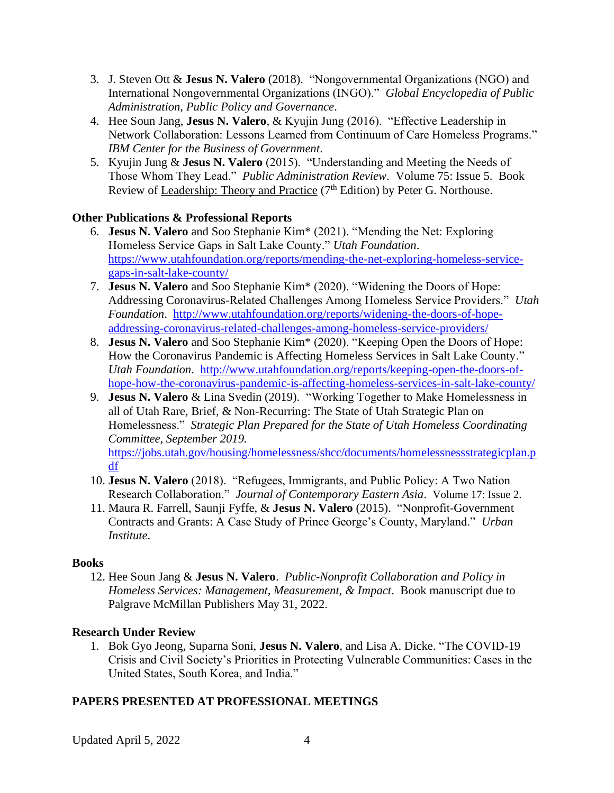- 3. J. Steven Ott & **Jesus N. Valero** (2018). "Nongovernmental Organizations (NGO) and International Nongovernmental Organizations (INGO)." *Global Encyclopedia of Public Administration, Public Policy and Governance*.
- 4. Hee Soun Jang, **Jesus N. Valero**, & Kyujin Jung (2016). "Effective Leadership in Network Collaboration: Lessons Learned from Continuum of Care Homeless Programs." *IBM Center for the Business of Government*.
- 5. Kyujin Jung & **Jesus N. Valero** (2015). "Understanding and Meeting the Needs of Those Whom They Lead." *Public Administration Review*. Volume 75: Issue 5. Book Review of Leadership: Theory and Practice  $(7<sup>th</sup> Edition)$  by Peter G. Northouse.

## **Other Publications & Professional Reports**

- 6. **Jesus N. Valero** and Soo Stephanie Kim\* (2021). "Mending the Net: Exploring Homeless Service Gaps in Salt Lake County." *Utah Foundation*. [https://www.utahfoundation.org/reports/mending-the-net-exploring-homeless-service](https://www.utahfoundation.org/reports/mending-the-net-exploring-homeless-service-gaps-in-salt-lake-county/)[gaps-in-salt-lake-county/](https://www.utahfoundation.org/reports/mending-the-net-exploring-homeless-service-gaps-in-salt-lake-county/)
- 7. **Jesus N. Valero** and Soo Stephanie Kim\* (2020). "Widening the Doors of Hope: Addressing Coronavirus-Related Challenges Among Homeless Service Providers." *Utah Foundation*. [http://www.utahfoundation.org/reports/widening-the-doors-of-hope](http://www.utahfoundation.org/reports/widening-the-doors-of-hope-addressing-coronavirus-related-challenges-among-homeless-service-providers/)[addressing-coronavirus-related-challenges-among-homeless-service-providers/](http://www.utahfoundation.org/reports/widening-the-doors-of-hope-addressing-coronavirus-related-challenges-among-homeless-service-providers/)
- 8. **Jesus N. Valero** and Soo Stephanie Kim\* (2020). "Keeping Open the Doors of Hope: How the Coronavirus Pandemic is Affecting Homeless Services in Salt Lake County." *Utah Foundation*. [http://www.utahfoundation.org/reports/keeping-open-the-doors-of](http://www.utahfoundation.org/reports/keeping-open-the-doors-of-hope-how-the-coronavirus-pandemic-is-affecting-homeless-services-in-salt-lake-county/)[hope-how-the-coronavirus-pandemic-is-affecting-homeless-services-in-salt-lake-county/](http://www.utahfoundation.org/reports/keeping-open-the-doors-of-hope-how-the-coronavirus-pandemic-is-affecting-homeless-services-in-salt-lake-county/)
- 9. **Jesus N. Valero** & Lina Svedin (2019). "Working Together to Make Homelessness in all of Utah Rare, Brief, & Non-Recurring: The State of Utah Strategic Plan on Homelessness." *Strategic Plan Prepared for the State of Utah Homeless Coordinating Committee, September 2019.* [https://jobs.utah.gov/housing/homelessness/shcc/documents/homelessnessstrategicplan.p](https://jobs.utah.gov/housing/homelessness/shcc/documents/homelessnessstrategicplan.pdf) [df](https://jobs.utah.gov/housing/homelessness/shcc/documents/homelessnessstrategicplan.pdf)
- 10. **Jesus N. Valero** (2018). "Refugees, Immigrants, and Public Policy: A Two Nation Research Collaboration." *Journal of Contemporary Eastern Asia*. Volume 17: Issue 2.
- 11. Maura R. Farrell, Saunji Fyffe, & **Jesus N. Valero** (2015). "Nonprofit-Government Contracts and Grants: A Case Study of Prince George's County, Maryland." *Urban Institute*.

#### **Books**

12. Hee Soun Jang & **Jesus N. Valero**. *Public-Nonprofit Collaboration and Policy in Homeless Services: Management, Measurement, & Impact*. Book manuscript due to Palgrave McMillan Publishers May 31, 2022.

#### **Research Under Review**

1. Bok Gyo Jeong, Suparna Soni, **Jesus N. Valero**, and Lisa A. Dicke. "The COVID-19 Crisis and Civil Society's Priorities in Protecting Vulnerable Communities: Cases in the United States, South Korea, and India."

#### **PAPERS PRESENTED AT PROFESSIONAL MEETINGS**

Updated April 5, 2022 4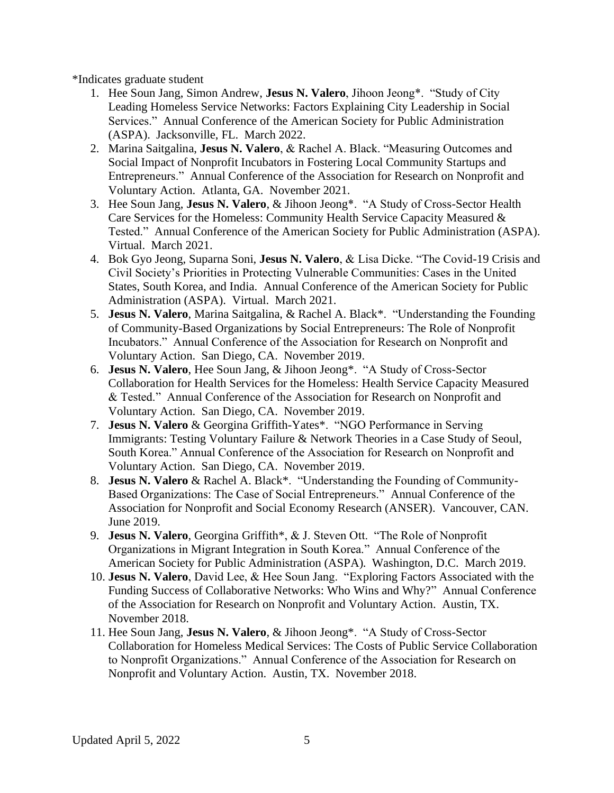\*Indicates graduate student

- 1. Hee Soun Jang, Simon Andrew, **Jesus N. Valero**, Jihoon Jeong\*. "Study of City Leading Homeless Service Networks: Factors Explaining City Leadership in Social Services." Annual Conference of the American Society for Public Administration (ASPA). Jacksonville, FL. March 2022.
- 2. Marina Saitgalina, **Jesus N. Valero**, & Rachel A. Black. "Measuring Outcomes and Social Impact of Nonprofit Incubators in Fostering Local Community Startups and Entrepreneurs." Annual Conference of the Association for Research on Nonprofit and Voluntary Action. Atlanta, GA. November 2021.
- 3. Hee Soun Jang, **Jesus N. Valero**, & Jihoon Jeong\*. "A Study of Cross-Sector Health Care Services for the Homeless: Community Health Service Capacity Measured & Tested." Annual Conference of the American Society for Public Administration (ASPA). Virtual. March 2021.
- 4. Bok Gyo Jeong, Suparna Soni, **Jesus N. Valero**, & Lisa Dicke. "The Covid-19 Crisis and Civil Society's Priorities in Protecting Vulnerable Communities: Cases in the United States, South Korea, and India. Annual Conference of the American Society for Public Administration (ASPA). Virtual. March 2021.
- 5. **Jesus N. Valero**, Marina Saitgalina, & Rachel A. Black\*. "Understanding the Founding of Community-Based Organizations by Social Entrepreneurs: The Role of Nonprofit Incubators." Annual Conference of the Association for Research on Nonprofit and Voluntary Action. San Diego, CA. November 2019.
- 6. **Jesus N. Valero**, Hee Soun Jang, & Jihoon Jeong\*. "A Study of Cross-Sector Collaboration for Health Services for the Homeless: Health Service Capacity Measured & Tested." Annual Conference of the Association for Research on Nonprofit and Voluntary Action. San Diego, CA. November 2019.
- 7. **Jesus N. Valero** & Georgina Griffith-Yates\*. "NGO Performance in Serving Immigrants: Testing Voluntary Failure & Network Theories in a Case Study of Seoul, South Korea." Annual Conference of the Association for Research on Nonprofit and Voluntary Action. San Diego, CA. November 2019.
- 8. **Jesus N. Valero** & Rachel A. Black\*. "Understanding the Founding of Community-Based Organizations: The Case of Social Entrepreneurs." Annual Conference of the Association for Nonprofit and Social Economy Research (ANSER). Vancouver, CAN. June 2019.
- 9. **Jesus N. Valero**, Georgina Griffith\*, & J. Steven Ott. "The Role of Nonprofit Organizations in Migrant Integration in South Korea." Annual Conference of the American Society for Public Administration (ASPA). Washington, D.C. March 2019.
- 10. **Jesus N. Valero**, David Lee, & Hee Soun Jang. "Exploring Factors Associated with the Funding Success of Collaborative Networks: Who Wins and Why?" Annual Conference of the Association for Research on Nonprofit and Voluntary Action. Austin, TX. November 2018.
- 11. Hee Soun Jang, **Jesus N. Valero**, & Jihoon Jeong\*. "A Study of Cross-Sector Collaboration for Homeless Medical Services: The Costs of Public Service Collaboration to Nonprofit Organizations." Annual Conference of the Association for Research on Nonprofit and Voluntary Action. Austin, TX. November 2018.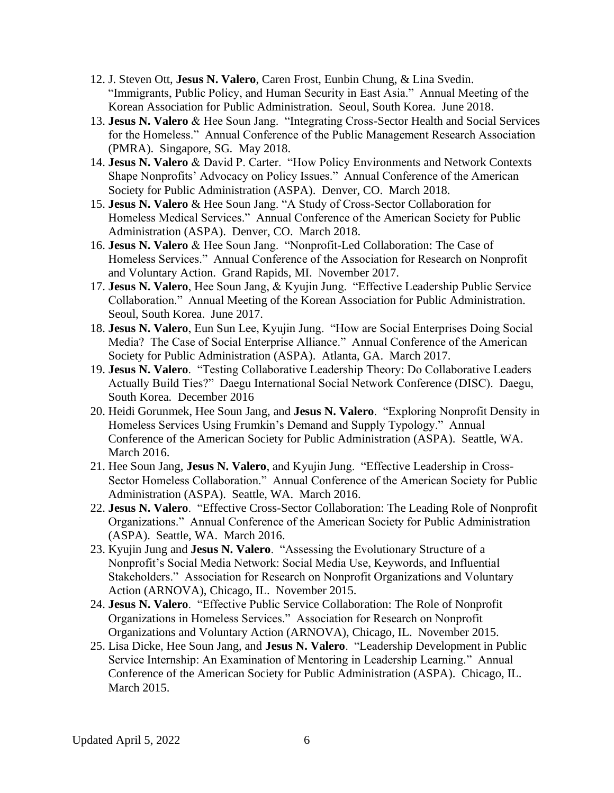- 12. J. Steven Ott, **Jesus N. Valero**, Caren Frost, Eunbin Chung, & Lina Svedin. "Immigrants, Public Policy, and Human Security in East Asia." Annual Meeting of the Korean Association for Public Administration. Seoul, South Korea. June 2018.
- 13. **Jesus N. Valero** & Hee Soun Jang. "Integrating Cross-Sector Health and Social Services for the Homeless." Annual Conference of the Public Management Research Association (PMRA). Singapore, SG. May 2018.
- 14. **Jesus N. Valero** & David P. Carter. "How Policy Environments and Network Contexts Shape Nonprofits' Advocacy on Policy Issues." Annual Conference of the American Society for Public Administration (ASPA). Denver, CO. March 2018.
- 15. **Jesus N. Valero** & Hee Soun Jang. "A Study of Cross-Sector Collaboration for Homeless Medical Services." Annual Conference of the American Society for Public Administration (ASPA). Denver, CO. March 2018.
- 16. **Jesus N. Valero** & Hee Soun Jang. "Nonprofit-Led Collaboration: The Case of Homeless Services." Annual Conference of the Association for Research on Nonprofit and Voluntary Action. Grand Rapids, MI. November 2017.
- 17. **Jesus N. Valero**, Hee Soun Jang, & Kyujin Jung. "Effective Leadership Public Service Collaboration." Annual Meeting of the Korean Association for Public Administration. Seoul, South Korea. June 2017.
- 18. **Jesus N. Valero**, Eun Sun Lee, Kyujin Jung. "How are Social Enterprises Doing Social Media? The Case of Social Enterprise Alliance." Annual Conference of the American Society for Public Administration (ASPA). Atlanta, GA. March 2017.
- 19. **Jesus N. Valero**. "Testing Collaborative Leadership Theory: Do Collaborative Leaders Actually Build Ties?" Daegu International Social Network Conference (DISC). Daegu, South Korea. December 2016
- 20. Heidi Gorunmek, Hee Soun Jang, and **Jesus N. Valero**. "Exploring Nonprofit Density in Homeless Services Using Frumkin's Demand and Supply Typology." Annual Conference of the American Society for Public Administration (ASPA). Seattle, WA. March 2016.
- 21. Hee Soun Jang, **Jesus N. Valero**, and Kyujin Jung. "Effective Leadership in Cross-Sector Homeless Collaboration." Annual Conference of the American Society for Public Administration (ASPA). Seattle, WA. March 2016.
- 22. **Jesus N. Valero**. "Effective Cross-Sector Collaboration: The Leading Role of Nonprofit Organizations." Annual Conference of the American Society for Public Administration (ASPA). Seattle, WA. March 2016.
- 23. Kyujin Jung and **Jesus N. Valero**. "Assessing the Evolutionary Structure of a Nonprofit's Social Media Network: Social Media Use, Keywords, and Influential Stakeholders." Association for Research on Nonprofit Organizations and Voluntary Action (ARNOVA), Chicago, IL. November 2015.
- 24. **Jesus N. Valero**. "Effective Public Service Collaboration: The Role of Nonprofit Organizations in Homeless Services." Association for Research on Nonprofit Organizations and Voluntary Action (ARNOVA), Chicago, IL. November 2015.
- 25. Lisa Dicke, Hee Soun Jang, and **Jesus N. Valero**. "Leadership Development in Public Service Internship: An Examination of Mentoring in Leadership Learning." Annual Conference of the American Society for Public Administration (ASPA). Chicago, IL. March 2015.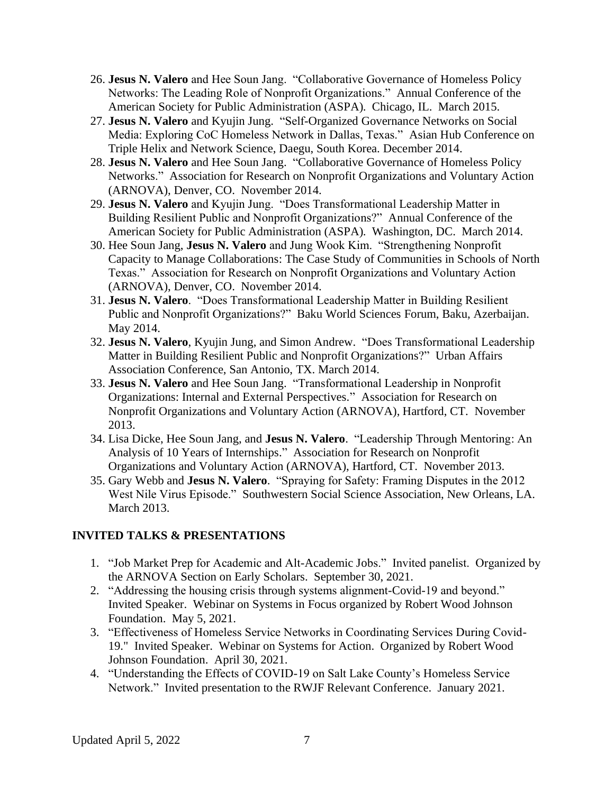- 26. **Jesus N. Valero** and Hee Soun Jang. "Collaborative Governance of Homeless Policy Networks: The Leading Role of Nonprofit Organizations." Annual Conference of the American Society for Public Administration (ASPA). Chicago, IL. March 2015.
- 27. **Jesus N. Valero** and Kyujin Jung. "Self-Organized Governance Networks on Social Media: Exploring CoC Homeless Network in Dallas, Texas." Asian Hub Conference on Triple Helix and Network Science, Daegu, South Korea. December 2014.
- 28. **Jesus N. Valero** and Hee Soun Jang. "Collaborative Governance of Homeless Policy Networks." Association for Research on Nonprofit Organizations and Voluntary Action (ARNOVA), Denver, CO. November 2014.
- 29. **Jesus N. Valero** and Kyujin Jung. "Does Transformational Leadership Matter in Building Resilient Public and Nonprofit Organizations?" Annual Conference of the American Society for Public Administration (ASPA). Washington, DC. March 2014.
- 30. Hee Soun Jang, **Jesus N. Valero** and Jung Wook Kim. "Strengthening Nonprofit Capacity to Manage Collaborations: The Case Study of Communities in Schools of North Texas." Association for Research on Nonprofit Organizations and Voluntary Action (ARNOVA), Denver, CO. November 2014.
- 31. **Jesus N. Valero**. "Does Transformational Leadership Matter in Building Resilient Public and Nonprofit Organizations?" Baku World Sciences Forum, Baku, Azerbaijan. May 2014.
- 32. **Jesus N. Valero**, Kyujin Jung, and Simon Andrew. "Does Transformational Leadership Matter in Building Resilient Public and Nonprofit Organizations?" Urban Affairs Association Conference, San Antonio, TX. March 2014.
- 33. **Jesus N. Valero** and Hee Soun Jang. "Transformational Leadership in Nonprofit Organizations: Internal and External Perspectives." Association for Research on Nonprofit Organizations and Voluntary Action (ARNOVA), Hartford, CT. November 2013.
- 34. Lisa Dicke, Hee Soun Jang, and **Jesus N. Valero**. "Leadership Through Mentoring: An Analysis of 10 Years of Internships." Association for Research on Nonprofit Organizations and Voluntary Action (ARNOVA), Hartford, CT. November 2013.
- 35. Gary Webb and **Jesus N. Valero**. "Spraying for Safety: Framing Disputes in the 2012 West Nile Virus Episode." Southwestern Social Science Association, New Orleans, LA. March 2013.

# **INVITED TALKS & PRESENTATIONS**

- 1. "Job Market Prep for Academic and Alt-Academic Jobs." Invited panelist. Organized by the ARNOVA Section on Early Scholars. September 30, 2021.
- 2. "Addressing the housing crisis through systems alignment-Covid-19 and beyond." Invited Speaker. Webinar on Systems in Focus organized by Robert Wood Johnson Foundation. May 5, 2021.
- 3. "Effectiveness of Homeless Service Networks in Coordinating Services During Covid-19." Invited Speaker. Webinar on Systems for Action. Organized by Robert Wood Johnson Foundation. April 30, 2021.
- 4. "Understanding the Effects of COVID-19 on Salt Lake County's Homeless Service Network." Invited presentation to the RWJF Relevant Conference. January 2021.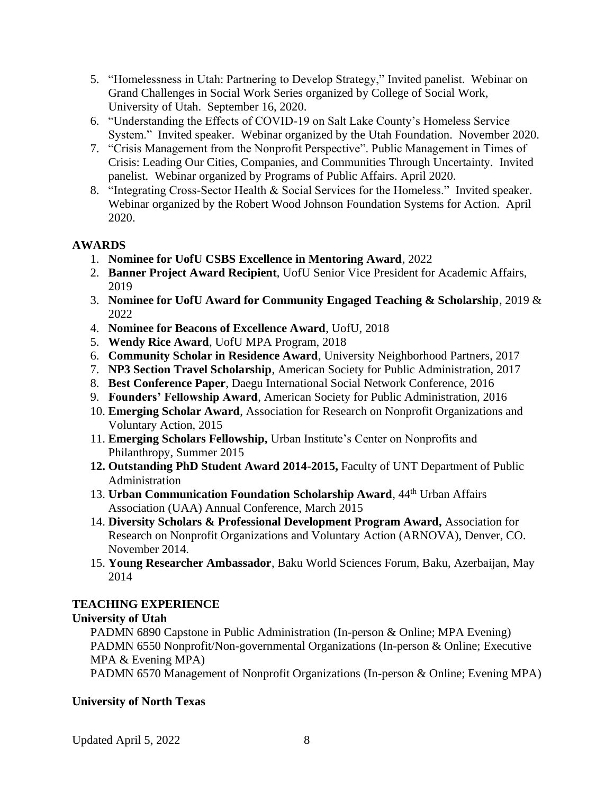- 5. "Homelessness in Utah: Partnering to Develop Strategy," Invited panelist. Webinar on Grand Challenges in Social Work Series organized by College of Social Work, University of Utah. September 16, 2020.
- 6. "Understanding the Effects of COVID-19 on Salt Lake County's Homeless Service System." Invited speaker. Webinar organized by the Utah Foundation. November 2020.
- 7. "Crisis Management from the Nonprofit Perspective". Public Management in Times of Crisis: Leading Our Cities, Companies, and Communities Through Uncertainty. Invited panelist. Webinar organized by Programs of Public Affairs. April 2020.
- 8. "Integrating Cross-Sector Health & Social Services for the Homeless." Invited speaker. Webinar organized by the Robert Wood Johnson Foundation Systems for Action. April 2020.

## **AWARDS**

- 1. **Nominee for UofU CSBS Excellence in Mentoring Award**, 2022
- 2. **Banner Project Award Recipient**, UofU Senior Vice President for Academic Affairs, 2019
- 3. **Nominee for UofU Award for Community Engaged Teaching & Scholarship**, 2019 & 2022
- 4. **Nominee for Beacons of Excellence Award**, UofU, 2018
- 5. **Wendy Rice Award**, UofU MPA Program, 2018
- 6. **Community Scholar in Residence Award**, University Neighborhood Partners, 2017
- 7. **NP3 Section Travel Scholarship**, American Society for Public Administration, 2017
- 8. **Best Conference Paper**, Daegu International Social Network Conference, 2016
- 9. **Founders' Fellowship Award**, American Society for Public Administration, 2016
- 10. **Emerging Scholar Award**, Association for Research on Nonprofit Organizations and Voluntary Action, 2015
- 11. **Emerging Scholars Fellowship,** Urban Institute's Center on Nonprofits and Philanthropy, Summer 2015
- **12. Outstanding PhD Student Award 2014-2015,** Faculty of UNT Department of Public Administration
- 13. **Urban Communication Foundation Scholarship Award**, 44th Urban Affairs Association (UAA) Annual Conference, March 2015
- 14. **Diversity Scholars & Professional Development Program Award,** Association for Research on Nonprofit Organizations and Voluntary Action (ARNOVA), Denver, CO. November 2014.
- 15. **Young Researcher Ambassador**, Baku World Sciences Forum, Baku, Azerbaijan, May 2014

# **TEACHING EXPERIENCE**

# **University of Utah**

PADMN 6890 Capstone in Public Administration (In-person & Online; MPA Evening) PADMN 6550 Nonprofit/Non-governmental Organizations (In-person & Online; Executive MPA & Evening MPA)

PADMN 6570 Management of Nonprofit Organizations (In-person & Online; Evening MPA)

# **University of North Texas**

Updated April 5, 2022 8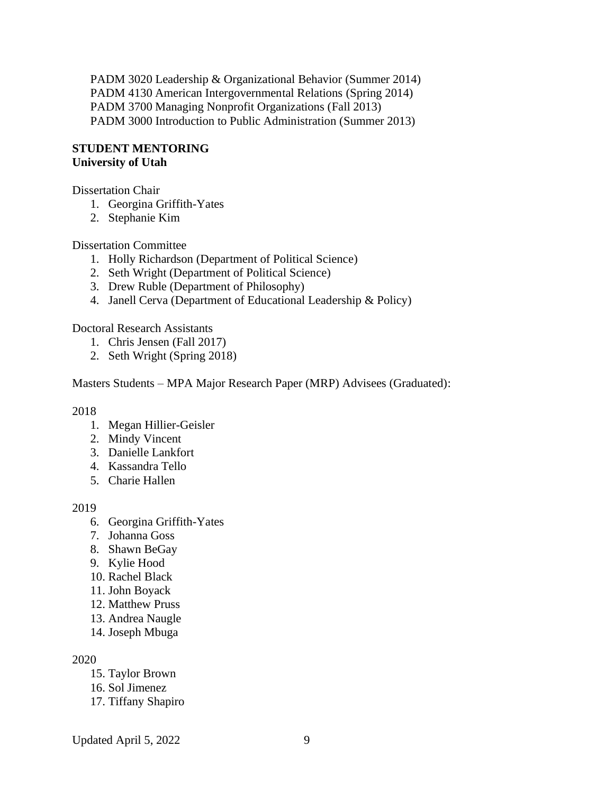PADM 3020 Leadership & Organizational Behavior (Summer 2014) PADM 4130 American Intergovernmental Relations (Spring 2014) PADM 3700 Managing Nonprofit Organizations (Fall 2013) PADM 3000 Introduction to Public Administration (Summer 2013)

#### **STUDENT MENTORING University of Utah**

Dissertation Chair

- 1. Georgina Griffith-Yates
- 2. Stephanie Kim

Dissertation Committee

- 1. Holly Richardson (Department of Political Science)
- 2. Seth Wright (Department of Political Science)
- 3. Drew Ruble (Department of Philosophy)
- 4. Janell Cerva (Department of Educational Leadership & Policy)

Doctoral Research Assistants

- 1. Chris Jensen (Fall 2017)
- 2. Seth Wright (Spring 2018)

Masters Students – MPA Major Research Paper (MRP) Advisees (Graduated):

2018

- 1. Megan Hillier-Geisler
- 2. Mindy Vincent
- 3. Danielle Lankfort
- 4. Kassandra Tello
- 5. Charie Hallen

2019

- 6. Georgina Griffith-Yates
- 7. Johanna Goss
- 8. Shawn BeGay
- 9. Kylie Hood
- 10. Rachel Black
- 11. John Boyack
- 12. Matthew Pruss
- 13. Andrea Naugle
- 14. Joseph Mbuga

2020

- 15. Taylor Brown
- 16. Sol Jimenez
- 17. Tiffany Shapiro

Updated April 5, 2022 9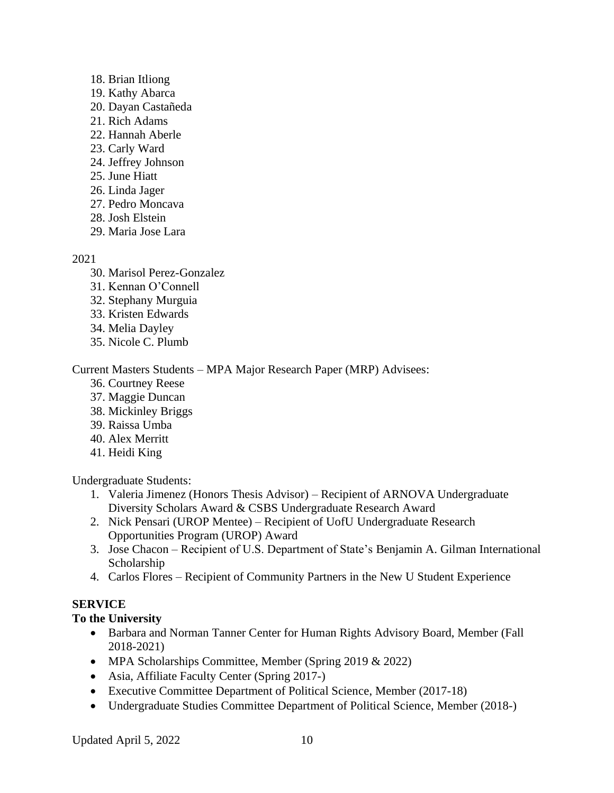- 18. Brian Itliong
- 19. Kathy Abarca
- 20. Dayan Castañeda
- 21. Rich Adams
- 22. Hannah Aberle
- 23. Carly Ward
- 24. Jeffrey Johnson
- 25. June Hiatt
- 26. Linda Jager
- 27. Pedro Moncava
- 28. Josh Elstein
- 29. Maria Jose Lara

2021

- 30. Marisol Perez-Gonzalez
- 31. Kennan O'Connell
- 32. Stephany Murguia
- 33. Kristen Edwards
- 34. Melia Dayley
- 35. Nicole C. Plumb

Current Masters Students – MPA Major Research Paper (MRP) Advisees:

- 36. Courtney Reese
- 37. Maggie Duncan
- 38. Mickinley Briggs
- 39. Raissa Umba
- 40. Alex Merritt
- 41. Heidi King

Undergraduate Students:

- 1. Valeria Jimenez (Honors Thesis Advisor) Recipient of ARNOVA Undergraduate Diversity Scholars Award & CSBS Undergraduate Research Award
- 2. Nick Pensari (UROP Mentee) Recipient of UofU Undergraduate Research Opportunities Program (UROP) Award
- 3. Jose Chacon Recipient of U.S. Department of State's Benjamin A. Gilman International Scholarship
- 4. Carlos Flores Recipient of Community Partners in the New U Student Experience

# **SERVICE**

# **To the University**

- Barbara and Norman Tanner Center for Human Rights Advisory Board, Member (Fall 2018-2021)
- MPA Scholarships Committee, Member (Spring 2019 & 2022)
- Asia, Affiliate Faculty Center (Spring 2017-)
- Executive Committee Department of Political Science, Member (2017-18)
- Undergraduate Studies Committee Department of Political Science, Member (2018-)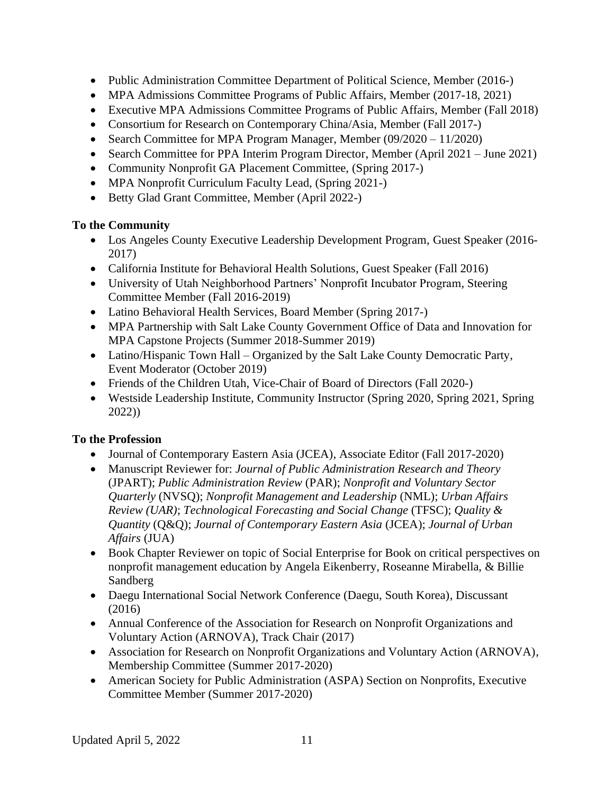- Public Administration Committee Department of Political Science, Member (2016-)
- MPA Admissions Committee Programs of Public Affairs, Member (2017-18, 2021)
- Executive MPA Admissions Committee Programs of Public Affairs, Member (Fall 2018)
- Consortium for Research on Contemporary China/Asia, Member (Fall 2017-)
- Search Committee for MPA Program Manager, Member (09/2020 11/2020)
- Search Committee for PPA Interim Program Director, Member (April 2021 June 2021)
- Community Nonprofit GA Placement Committee, (Spring 2017-)
- MPA Nonprofit Curriculum Faculty Lead, (Spring 2021-)
- Betty Glad Grant Committee, Member (April 2022-)

# **To the Community**

- Los Angeles County Executive Leadership Development Program, Guest Speaker (2016-2017)
- California Institute for Behavioral Health Solutions, Guest Speaker (Fall 2016)
- University of Utah Neighborhood Partners' Nonprofit Incubator Program, Steering Committee Member (Fall 2016-2019)
- Latino Behavioral Health Services, Board Member (Spring 2017-)
- MPA Partnership with Salt Lake County Government Office of Data and Innovation for MPA Capstone Projects (Summer 2018-Summer 2019)
- Latino/Hispanic Town Hall Organized by the Salt Lake County Democratic Party, Event Moderator (October 2019)
- Friends of the Children Utah, Vice-Chair of Board of Directors (Fall 2020-)
- Westside Leadership Institute, Community Instructor (Spring 2020, Spring 2021, Spring 2022))

# **To the Profession**

- Journal of Contemporary Eastern Asia (JCEA), Associate Editor (Fall 2017-2020)
- Manuscript Reviewer for: *Journal of Public Administration Research and Theory*  (JPART); *Public Administration Review* (PAR); *Nonprofit and Voluntary Sector Quarterly* (NVSQ); *Nonprofit Management and Leadership* (NML); *Urban Affairs Review (UAR)*; *Technological Forecasting and Social Change* (TFSC); *Quality & Quantity* (Q&Q); *Journal of Contemporary Eastern Asia* (JCEA); *Journal of Urban Affairs* (JUA)
- Book Chapter Reviewer on topic of Social Enterprise for Book on critical perspectives on nonprofit management education by Angela Eikenberry, Roseanne Mirabella, & Billie Sandberg
- Daegu International Social Network Conference (Daegu, South Korea), Discussant (2016)
- Annual Conference of the Association for Research on Nonprofit Organizations and Voluntary Action (ARNOVA), Track Chair (2017)
- Association for Research on Nonprofit Organizations and Voluntary Action (ARNOVA), Membership Committee (Summer 2017-2020)
- American Society for Public Administration (ASPA) Section on Nonprofits, Executive Committee Member (Summer 2017-2020)